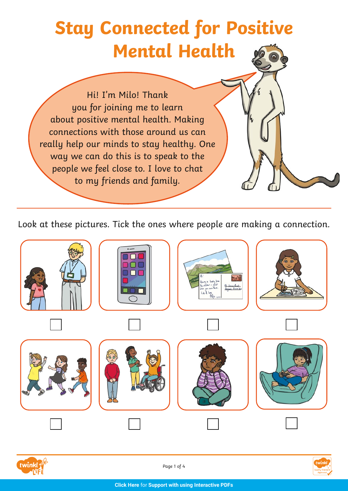## **Stay Connected for Positive Mental Health**

Hi! I'm Milo! Thank you for joining me to learn about positive mental health. Making connections with those around us can really help our minds to stay healthy. One way we can do this is to speak to the people we feel close to. I love to chat to my friends and family.

Look at these pictures. Tick the ones where people are making a connection.





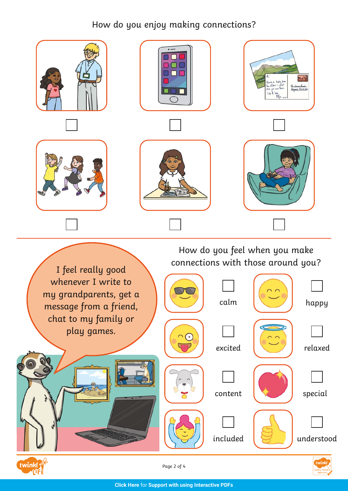## How do you enjoy making connections?



Page 2 of 4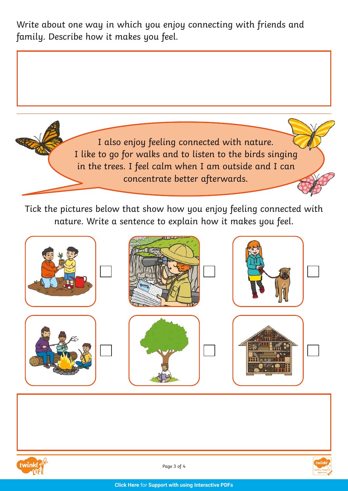Write about one way in which you enjoy connecting with friends and family. Describe how it makes you feel.



Tick the pictures below that show how you enjoy feeling connected with nature. Write a sentence to explain how it makes you feel.







Page 3 of 4